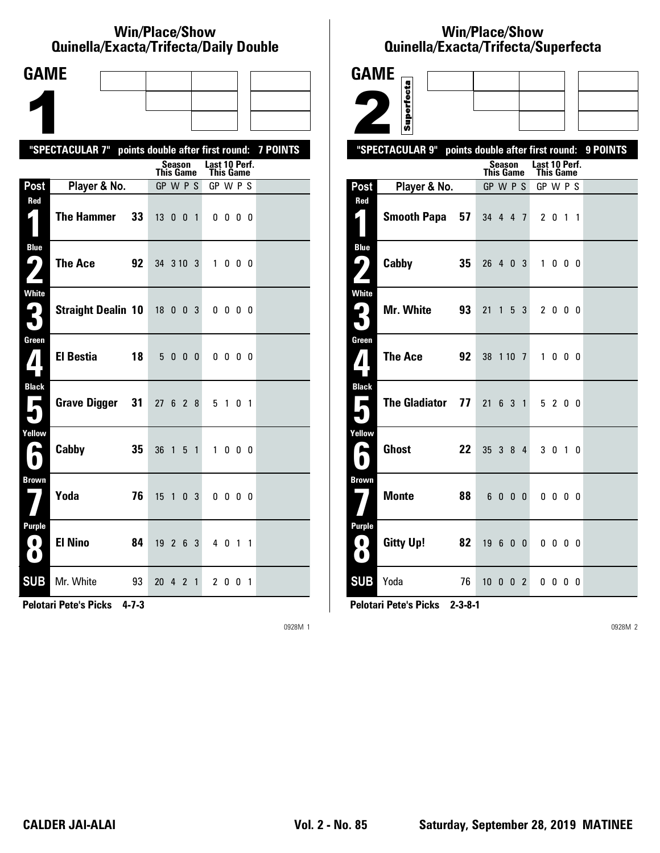#### **Win/Place/Show Qui nel la/Exacta/Tri fecta/Daily Dou ble**

| <b>GAME</b>                              |                                                           |    |           |                     |                |                |                                   |              |  |  |
|------------------------------------------|-----------------------------------------------------------|----|-----------|---------------------|----------------|----------------|-----------------------------------|--------------|--|--|
|                                          |                                                           |    |           |                     |                |                |                                   |              |  |  |
|                                          |                                                           |    |           |                     |                |                |                                   |              |  |  |
|                                          | "SPECTACULAR 7" points double after first round: 7 POINTS |    |           |                     |                |                |                                   |              |  |  |
|                                          |                                                           |    |           | Season<br>This Game |                |                | Last 10 Perf.<br><b>This Game</b> |              |  |  |
| Post                                     | Player & No.                                              |    |           | GP W P S            |                |                | GP W P S                          |              |  |  |
| Red                                      | <b>The Hammer</b>                                         | 33 |           | 1300                |                | $\overline{1}$ |                                   | $0\,0\,0\,0$ |  |  |
| <b>Blue</b><br>9<br>Z                    | The Ace                                                   | 92 | 34 3 10 3 |                     |                |                |                                   | 1000         |  |  |
| White<br>3                               | <b>Straight Dealin 10</b>                                 |    | 18 0 0 3  |                     |                |                |                                   | $0\,0\,0\,0$ |  |  |
| Green<br>$\mathbf{Z}$                    | <b>El Bestia</b>                                          | 18 |           | 5000                |                |                |                                   | $0\,0\,0\,0$ |  |  |
| <b>Black</b><br>$\overline{\phantom{a}}$ | <b>Grave Digger</b>                                       | 31 | 27 6 2 8  |                     |                |                |                                   | 5 1 0 1      |  |  |
| Yellow<br>H                              | Cabby                                                     | 35 | 36        | $\overline{1}$      | 5 <sub>1</sub> |                |                                   | 1000         |  |  |
| <b>Brown</b>                             | Yoda                                                      | 76 | 15        |                     | $1 \t0 \t3$    |                |                                   | $0\,0\,0\,0$ |  |  |
| Purple<br>$\blacksquare$<br>O            | <b>El Nino</b>                                            | 84 | 19263     |                     |                |                |                                   | 4 0 1 1      |  |  |
| <b>SUB</b>                               | Mr. White                                                 | 93 | 20 4 2 1  |                     |                |                |                                   | 2001         |  |  |

**Pelotari Pete's Picks 4-7-3**

0928M 1

### **Win/Place/Show Qui nel la/Exacta/Tri fecta/Super fecta**

| <b>GAME</b>                            |                            |                                  |                |                            |                   |          |
|----------------------------------------|----------------------------|----------------------------------|----------------|----------------------------|-------------------|----------|
|                                        |                            |                                  |                |                            |                   |          |
|                                        | Superfecta                 |                                  |                |                            |                   |          |
|                                        | "SPECTACULAR 9"            | points double after first round: |                |                            |                   | 9 POINTS |
|                                        |                            | Season<br><b>This Game</b>       |                | Last 10 Perf.<br>This Game |                   |          |
| Post                                   | Player & No.               | GP W P S                         |                |                            | GP W P S          |          |
| Red<br>4                               | <b>Smooth Papa</b><br>57   | 34 4 4 7                         |                | 2 <sub>0</sub>             | $1\quad1$         |          |
| <b>Blue</b><br>ر ما                    | Cabby<br>35                | 26 4 0 3                         |                | $\mathbf{1}$               | $0\quad 0\quad 0$ |          |
| <b>White</b><br>$\mathbf{G}_\parallel$ | Mr. White<br>93            | 21<br>1 5 3                      |                |                            | 2 0 0 0           |          |
| Green<br>7                             | <b>The Ace</b><br>92       | 38 1 10 7                        |                |                            | 1000              |          |
| <b>Black</b><br>Е<br>٠                 | <b>The Gladiator</b><br>77 | 21                               | 6 3 1          |                            | 5 2 0 0           |          |
| Yellow<br>А<br>0                       | <b>Ghost</b><br>22         | 35 3 8 4                         |                |                            | 3 0 1 0           |          |
| <b>Brown</b>                           | <b>Monte</b><br>88         | 6000                             |                |                            | $0\,0\,0\,0$      |          |
| <b>Purple</b><br>0<br>$\bullet$        | <b>Gitty Up!</b><br>82     | 19<br>- 6                        | 0 <sub>0</sub> | 0 <sub>0</sub>             | $0\quad 0$        |          |
| <b>SUB</b>                             | Yoda<br>76                 | 10002                            |                |                            | 0000              |          |

**Pelotari Pete's Picks 2-3-8-1**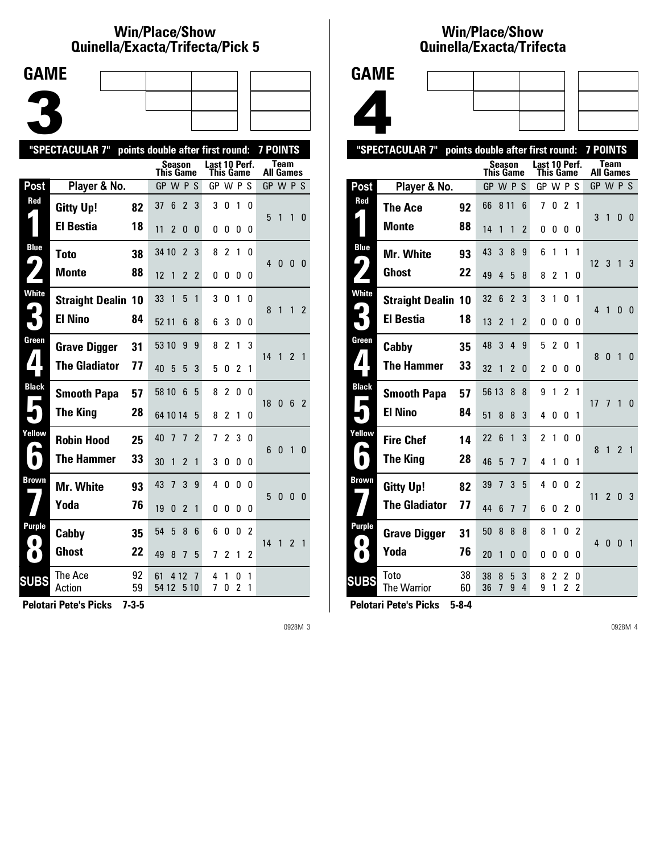### **Win/Place/Show Qui nel la/Exacta/Tri fecta/Pick 5**



|                            | "SPECTACULAR 7"           |          | points double after first round: |                |                |                            |                         |                     |                | <b>7 POINTS</b>  |              |                |                |
|----------------------------|---------------------------|----------|----------------------------------|----------------|----------------|----------------------------|-------------------------|---------------------|----------------|------------------|--------------|----------------|----------------|
|                            |                           |          | This Game                        | <b>Season</b>  |                | Last 10 Perf.<br>This Game |                         |                     |                | <b>All Games</b> | <b>Team</b>  |                |                |
| Post                       | Player & No.              |          | GP W P S                         |                |                | GP W P S                   |                         |                     |                | GP W P S         |              |                |                |
| Red                        | <b>Gitty Up!</b>          | 82       | 37<br>6                          | $\overline{2}$ | 3              | 3                          | 0                       | 1                   | 0              | 5                | 1            | 1              | $\Omega$       |
|                            | <b>El Bestia</b>          | 18       | 11<br>2                          | 0              | 0              | 0                          | 0                       | 0                   | 0              |                  |              |                |                |
| <b>Blue</b>                | Toto                      | 38       | 34 10                            | $\overline{2}$ | 3              | 8                          | $\overline{\mathbf{c}}$ | 1                   | 0              |                  |              |                |                |
| 9                          | <b>Monte</b>              | 88       | 12<br>1                          | $\overline{2}$ | $\overline{2}$ | 0                          | 0                       | 0                   | 0              | 4                | 0            | 0 <sub>0</sub> |                |
| White                      | <b>Straight Dealin 10</b> |          | 33<br>1                          | 5              | 1              | 3                          | 0                       | 1                   | 0              | 8                | 1            | 1              | $\overline{2}$ |
|                            | <b>El Nino</b>            | 84       | 52 11                            | 6              | 8              | 6                          | 3                       | 0                   | 0              |                  |              |                |                |
| Green                      | <b>Grave Digger</b>       | 31       | 53 10                            | 9              | 9              | 8                          | $\mathfrak z$           | 1                   | 3              | 14               | 1            | $\mathfrak{p}$ | $\overline{1}$ |
|                            | <b>The Gladiator</b>      | 77       | 40<br>5                          | 5              | 3              | 5                          | 0                       | 2                   | 1              |                  |              |                |                |
| <b>Black</b>               | <b>Smooth Papa</b>        | 57       | 58 10                            | 6              | 5              | 8                          | $\mathfrak z$           | 0                   | n              | 18               | 0            | 6              | $\overline{2}$ |
|                            | <b>The King</b>           | 28       | 64 10 14                         |                | 5              | 8                          | 2                       | 1                   | 0              |                  |              |                |                |
| Yellow                     | <b>Robin Hood</b>         | 25       | 40<br>7                          | 7              | 2              | 7                          | 2                       | 3                   | 0              | 6                | $\mathbf{0}$ | $\mathbf{1}$   | $\Omega$       |
| $\bullet$                  | <b>The Hammer</b>         | 33       | 30<br>1                          | $\overline{2}$ | 1              | 3                          | 0                       | 0                   | 0              |                  |              |                |                |
| Brown                      | Mr. White                 | 93       | 43<br>7                          | 3              | 9              | 4                          | 0                       | 0                   | n              | 5                | $\mathbf{0}$ | 0              | - 0            |
|                            | Yoda                      | 76       | 19<br>0                          | 2              | 1              | 0                          | 0                       | 0                   | 0              |                  |              |                |                |
| <b>Purple</b><br>$\bullet$ | Cabby                     | 35       | 54<br>5                          | 8              | 6              | 6                          | 0                       | 0                   | $\overline{2}$ | 14               | $\mathbf{1}$ | 2 <sub>1</sub> |                |
| $\bullet$                  | Ghost                     | 22       | 49<br>8                          | 7              | 5              | 7                          | 2                       | 1                   | 2              |                  |              |                |                |
| <b>SUBS</b>                | The Ace<br>Action         | 92<br>59 | 61<br>54 12                      | 4 12<br>5 10   | 7              | 4<br>7                     | 1<br>0                  | 0<br>$\overline{c}$ | 1<br>1         |                  |              |                |                |
|                            |                           |          |                                  |                |                |                            |                         |                     |                |                  |              |                |                |

**Pelotari Pete's Picks 7-3-5**

0928M 3

## **Win/Place/Show Qui nel la/Exacta/Tri fecta**



|                            | "SPECTACULAR 7"           | points double after first round: |           |                |                |                          |                |                     |                                  |                     | <b>7 POINTS</b> |                |                |                |
|----------------------------|---------------------------|----------------------------------|-----------|----------------|----------------|--------------------------|----------------|---------------------|----------------------------------|---------------------|-----------------|----------------|----------------|----------------|
|                            |                           |                                  | This Game |                | <b>Season</b>  |                          | Last 10 Perf.  | This Game           |                                  |                     | All Games       | <b>Team</b>    |                |                |
| Post                       | Player & No.              |                                  | GP W P S  |                |                |                          | GP W P S       |                     |                                  |                     | GP W P S        |                |                |                |
| Red                        | The Ace                   | 92                               | 66        | 8 1 1          |                | 6                        | 7              | 0                   | $\overline{2}$                   | 1                   | 3               | 1              | 0              | $\overline{0}$ |
|                            | <b>Monte</b>              | 88                               | 14        | 1              | 1              | $\overline{\phantom{a}}$ | 0              | 0                   | 0                                | 0                   |                 |                |                |                |
| <b>Blue</b>                | Mr. White                 | 93                               | 43        | 3              | 8              | 9                        | 6              | 1                   | $\mathbf{1}$                     | 1                   | 12              | 3              |                |                |
| $\blacktriangleright$      | Ghost                     | 22                               | 49        | 4              | 5              | 8                        | 8              | 2                   | 1                                | 0                   |                 |                | 1              | 3              |
| <b>White</b>               | <b>Straight Dealin 10</b> |                                  | 32        | 6              | $\overline{2}$ | 3                        | 3              | 1                   | 0                                | 1                   | 4               | 1              | 0              | - 0            |
|                            | <b>El Bestia</b>          | 18                               | 13        | $\overline{2}$ | 1              | $\overline{2}$           | 0              | 0                   | 0                                | 0                   |                 |                |                |                |
| Green                      | Cabby                     | 35                               | 48        | 3              | 4              | 9                        | 5              | $\overline{2}$      | 0                                | 1                   | 8               | $\mathbf{0}$   | $\overline{1}$ | $\mathbf{0}$   |
| $\blacktriangle$           | <b>The Hammer</b>         | 33                               | 32        | 1              | $\mathfrak z$  | 0                        | $\overline{c}$ | 0                   | 0                                | 0                   |                 |                |                |                |
| <b>Black</b><br>×.         | <b>Smooth Papa</b>        | 57                               | 56 13     |                | 8              | 8                        | 9              | 1                   | $\overline{2}$                   | 1                   | 17              | $\overline{1}$ | 1              | $\mathbf{0}$   |
|                            | <b>El Nino</b>            | 84                               | 51        | 8              | 8              | 3                        | 4              | 0                   | 0                                | 1                   |                 |                |                |                |
| Yellow                     | <b>Fire Chef</b>          | 14                               | 22        | 6              | 1              | 3                        | $\overline{c}$ | 1                   | 0                                | 0                   | 8               | $\mathbf{1}$   | $\overline{2}$ | $\overline{1}$ |
|                            | <b>The King</b>           | 28                               | 46        | 5              | $\overline{1}$ | 7                        | 4              | 1                   | 0                                | 1                   |                 |                |                |                |
| Brown                      | <b>Gitty Up!</b>          | 82                               | 39        | 7              | 3              | 5                        | 4              | 0                   | 0                                | $\overline{2}$      | 11              | $\overline{2}$ | $\mathbf{0}$   | -3             |
|                            | <b>The Gladiator</b>      | 77                               | 44        | 6              | 7              | 7                        | 6              | 0                   | $\overline{2}$                   | 0                   |                 |                |                |                |
| <b>Purple</b><br>$\bullet$ | <b>Grave Digger</b>       | 31                               | 50        | 8              | 8              | 8                        | 8              | 1                   | 0                                | $\mathfrak z$       | $\overline{4}$  | 0              | $\overline{0}$ | $\overline{1}$ |
| $\bullet$                  | Yoda                      | 76                               | 20        | 1              | 0              | 0                        | 0              | 0                   | 0                                | 0                   |                 |                |                |                |
| <b>SUBS</b>                | Toto<br>The Warrior       | 38<br>60                         | 38<br>36  | 8<br>7         | 5<br>9         | 3<br>4                   | 8<br>9         | $\overline{c}$<br>1 | $\overline{2}$<br>$\overline{c}$ | 0<br>$\overline{c}$ |                 |                |                |                |
|                            |                           |                                  |           |                |                |                          |                |                     |                                  |                     |                 |                |                |                |

**Pelotari Pete's Picks 5-8-4**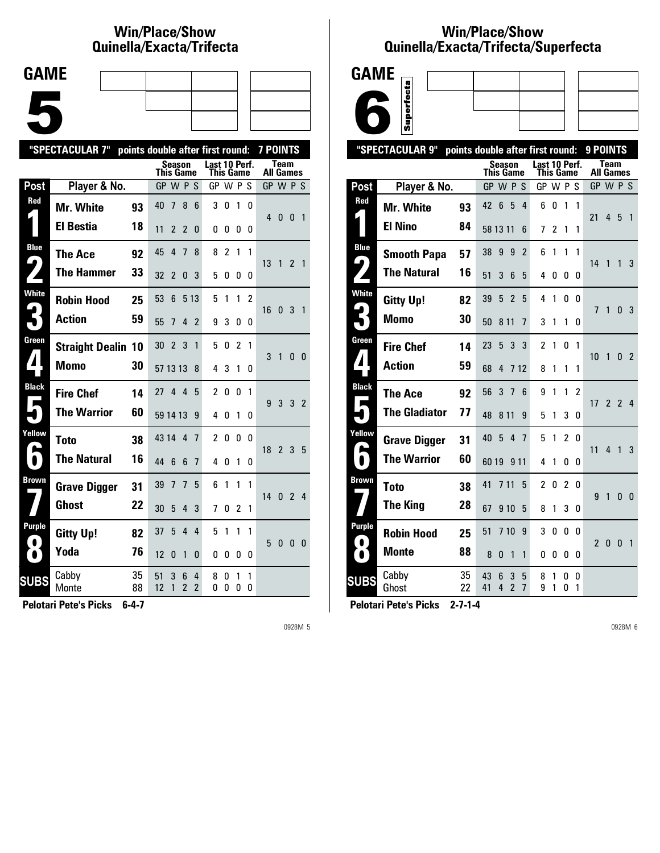# **Win/Place/Show Qui nel la/Exacta/Tri fecta**

| <b>GAME</b> |  |  |
|-------------|--|--|
|             |  |  |
|             |  |  |
|             |  |  |
|             |  |  |
|             |  |  |
|             |  |  |
|             |  |  |

|                | "SPECTACULAR 7"           |          | points double after first round: |                               |                     |                            |                |                |        | <b>7 POINTS</b>              |                |                |                          |
|----------------|---------------------------|----------|----------------------------------|-------------------------------|---------------------|----------------------------|----------------|----------------|--------|------------------------------|----------------|----------------|--------------------------|
|                |                           |          | Season<br>This Game              |                               |                     | Last 10 Perf.<br>This Game |                |                |        | All Games                    | Team           |                |                          |
| Post           | Player & No.              |          | GP W P S                         |                               |                     | GP W P S                   |                |                |        | GP W P S                     |                |                |                          |
| Red            | <b>Mr. White</b>          | 93       | 40<br>7                          | 8                             | 6                   | 3                          | 0              | 1              | 0      | $4\quad0$                    |                | $\mathbf{0}$   | $\overline{\phantom{0}}$ |
|                | El Bestia                 | 18       | 11<br>2                          | $\overline{2}$                | 0                   | 0                          | 0              | 0              | 0      |                              |                |                |                          |
| <b>Blue</b>    | <b>The Ace</b>            | 92       | 45<br>4                          | 7                             | 8                   | 8                          | $\overline{c}$ | 1              | 1      |                              |                |                |                          |
| 9              | <b>The Hammer</b>         | 33       | 32<br>2                          | 0                             | 3                   | 5                          | 0              | 0              | 0      | 13                           | $\overline{1}$ | 2 <sub>1</sub> |                          |
| White          | <b>Robin Hood</b>         | 25       | 53<br>6                          |                               | 5 1 3               | 5                          | 1              | 1              | 2      | 16 0 3 1                     |                |                |                          |
|                | <b>Action</b>             | 59       | 55<br>7                          | 4                             | 2                   | 9                          | 3              | 0              | 0      |                              |                |                |                          |
| Green          | <b>Straight Dealin 10</b> |          | $\overline{2}$<br>30             | 3                             | 1                   | 5                          | 0              | $\overline{2}$ | 1      | 3                            | 1              | $\mathbf{0}$   | - 0                      |
|                | <b>Momo</b>               | 30       | 57 13 13                         |                               | 8                   | 4                          | 3              | 1              | 0      |                              |                |                |                          |
| <b>Black</b>   | <b>Fire Chef</b>          | 14       | 4<br>27                          | $\overline{4}$                | 5                   | $\overline{2}$             | 0              | 0              | 1      | 9                            | 3              | 3 <sub>2</sub> |                          |
|                | <b>The Warrior</b>        | 60       | 59 14 13                         |                               | 9                   | 4                          | 0              | 1              | 0      |                              |                |                |                          |
| Yellow         | Toto                      | 38       | 43 14                            | $\overline{4}$                | 7                   | $\overline{2}$             | 0              | 0              | 0      | $18 \quad 2 \quad 3 \quad 5$ |                |                |                          |
| $\blacksquare$ | <b>The Natural</b>        | 16       | 44<br>6                          | 6                             | 7                   | 4                          | 0              | 1              | 0      |                              |                |                |                          |
| Brown          | <b>Grave Digger</b>       | 31       | 39<br>7                          | 7                             | 5                   | 6                          | 1              | 1              | 1      | 14 0 2 4                     |                |                |                          |
|                | <b>Ghost</b>              | 22       | 30<br>5                          | 4                             | 3                   | 7                          | 0              | $\overline{2}$ | 1      |                              |                |                |                          |
| Purple         | <b>Gitty Up!</b>          | 82       | 37<br>5                          | $\overline{4}$                | 4                   | 5                          | 1              | 1              | 1      | 5                            | 0              | $\mathbf{0}$   | - 0                      |
| $\bullet$      | Yoda                      | 76       | 12<br>$\Omega$                   | 1                             | 0                   | 0                          | O              | 0              | 0      |                              |                |                |                          |
| <b>SUBS</b>    | Cabby<br>Monte            | 35<br>88 | 51<br>3<br>12<br>1               | 6<br>$\overline{\phantom{a}}$ | 4<br>$\overline{2}$ | 8<br>0                     | 0<br>0         | 1<br>0         | 1<br>0 |                              |                |                |                          |

**Pelotari Pete's Picks 6-4-7**

0928M 5

### **Win/Place/Show Qui nel la/Exacta/Tri fecta/Super fecta**



|                            | "SPECTACULAR 9"      |          | points double after first round:                              |                                            | 9 POINTS                                            |
|----------------------------|----------------------|----------|---------------------------------------------------------------|--------------------------------------------|-----------------------------------------------------|
|                            |                      |          | Season<br>This Game                                           | Last 10 Perf.<br>This Game                 | Team<br><b>All Games</b>                            |
| Post                       | Player & No.         |          | GP W P S                                                      | GP W P S                                   | GP W P S                                            |
| Red                        | <b>Mr. White</b>     | 93       | $6\phantom{1}$<br>5<br>4<br>42                                | 0<br>1<br>6<br>1                           |                                                     |
|                            | <b>El Nino</b>       | 84       | 58 13 11<br>6                                                 | 2<br>7<br>1<br>1                           | 21<br>4<br>5<br>$\mathbf{1}$                        |
| <b>Blue</b>                | <b>Smooth Papa</b>   | 57       | 38<br>9<br>9<br>$\overline{2}$                                | 1<br>1<br>1<br>6                           |                                                     |
| $\blacklozenge$            | <b>The Natural</b>   | 16       | 51<br>3<br>6<br>5                                             | 4<br>0<br>0<br>0                           | 14<br>1<br>1<br>3                                   |
| White                      | <b>Gitty Up!</b>     | 82       | 39<br>5<br>$\overline{2}$<br>5                                | 4<br>1<br>0<br>0                           | $\overline{1}$<br>1<br>$\mathbf{0}$<br>-3           |
| 3                          | <b>Momo</b>          | 30       | 50<br>8 1 1<br>7                                              | 3<br>1<br>1<br>0                           |                                                     |
| Green                      | <b>Fire Chef</b>     | 14       | 3<br>23<br>5<br>3                                             | $\overline{c}$<br>$\Omega$<br>1<br>1       | 10<br>1<br>$\mathbf{0}$<br>$\overline{2}$           |
| 7                          | <b>Action</b>        | 59       | 68<br>4<br>7 1 2                                              | 8<br>1<br>1<br>1                           |                                                     |
| <b>Black</b><br>Е          | The Ace              | 92       | 3<br>56<br>6<br>7                                             | 9<br>1<br>1<br>2                           | 2 <sub>2</sub><br>$\overline{4}$<br>17 <sup>1</sup> |
|                            | <b>The Gladiator</b> | 77       | 48<br>8 1 1<br>9                                              | 3<br>5<br>1<br>0                           |                                                     |
| Yellow                     | <b>Grave Digger</b>  | 31       | 40<br>5<br>4<br>7                                             | $\overline{2}$<br>1<br>5<br>0              | 11<br>4<br>$\overline{1}$<br>3                      |
| L<br>$\blacksquare$        | <b>The Warrior</b>   | 60       | 60 19<br>9 1 1                                                | 4<br>1<br>0<br>0                           |                                                     |
| Brown                      | <b>Toto</b>          | 38       | 41<br>7 1 1<br>5                                              | $\overline{2}$<br>$\overline{c}$<br>0<br>0 | 9<br>1<br>0<br>0                                    |
|                            | <b>The King</b>      | 28       | 67<br>910<br>5                                                | 3<br>8<br>1<br>0                           |                                                     |
| <b>Purple</b><br>$\bullet$ | <b>Robin Hood</b>    | 25       | 51<br>710<br>9                                                | 0<br>3<br>0<br>0                           | $\mathbf{0}$<br>$\mathbf{0}$<br>2<br>$\overline{1}$ |
| $\bullet$                  | <b>Monte</b>         | 88       | 8<br>0<br>1<br>1                                              | 0<br>0<br>0<br>0                           |                                                     |
| <b>SUBS</b>                | Cabby<br>Ghost       | 35<br>22 | 43<br>6<br>3<br>5<br>$\overline{\phantom{a}}$<br>41<br>4<br>7 | 8<br>1<br>0<br>0<br>9<br>1<br>0<br>1       |                                                     |
|                            |                      |          |                                                               |                                            |                                                     |

**Pelotari Pete's Picks 2-7-1-4**